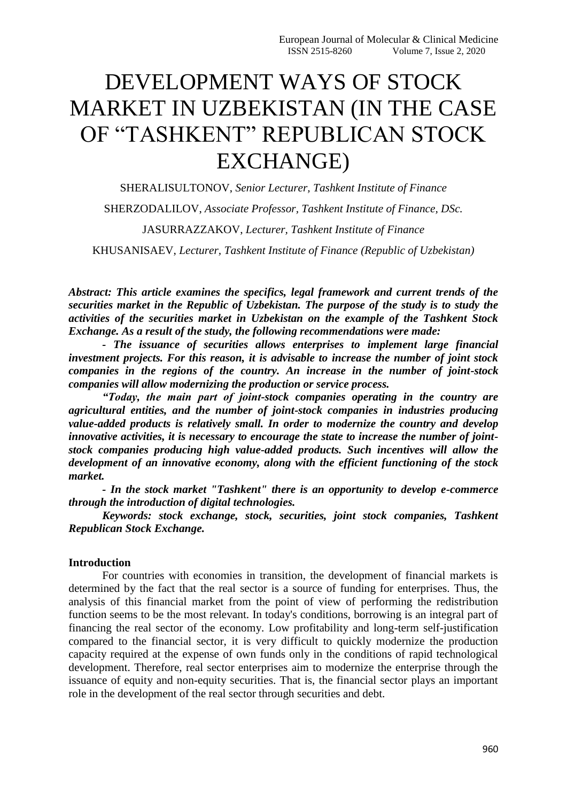# DEVELOPMENT WAYS OF STOCK MARKET IN UZBEKISTAN (IN THE CASE OF "TASHKENT" REPUBLICAN STOCK EXCHANGE)

SHERALISULTONOV, *Senior Lecturer, Tashkent Institute of Finance*

SHERZODALILOV, *Associate Professor, Tashkent Institute of Finance, DSc.*

JASURRAZZAKOV, *Lecturer, Tashkent Institute of Finance*

KHUSANISAEV, *Lecturer, Tashkent Institute of Finance (Republic of Uzbekistan)*

*Abstract: This article examines the specifics, legal framework and current trends of the securities market in the Republic of Uzbekistan. The purpose of the study is to study the activities of the securities market in Uzbekistan on the example of the Tashkent Stock Exchange. As a result of the study, the following recommendations were made:*

*- The issuance of securities allows enterprises to implement large financial investment projects. For this reason, it is advisable to increase the number of joint stock companies in the regions of the country. An increase in the number of joint-stock companies will allow modernizing the production or service process.*

*"Today, the main part of joint-stock companies operating in the country are agricultural entities, and the number of joint-stock companies in industries producing value-added products is relatively small. In order to modernize the country and develop innovative activities, it is necessary to encourage the state to increase the number of jointstock companies producing high value-added products. Such incentives will allow the development of an innovative economy, along with the efficient functioning of the stock market.*

*- In the stock market "Tashkent" there is an opportunity to develop e-commerce through the introduction of digital technologies.*

*Keywords: stock exchange, stock, securities, joint stock companies, Tashkent Republican Stock Exchange.*

## **Introduction**

For countries with economies in transition, the development of financial markets is determined by the fact that the real sector is a source of funding for enterprises. Thus, the analysis of this financial market from the point of view of performing the redistribution function seems to be the most relevant. In today's conditions, borrowing is an integral part of financing the real sector of the economy. Low profitability and long-term self-justification compared to the financial sector, it is very difficult to quickly modernize the production capacity required at the expense of own funds only in the conditions of rapid technological development. Therefore, real sector enterprises aim to modernize the enterprise through the issuance of equity and non-equity securities. That is, the financial sector plays an important role in the development of the real sector through securities and debt.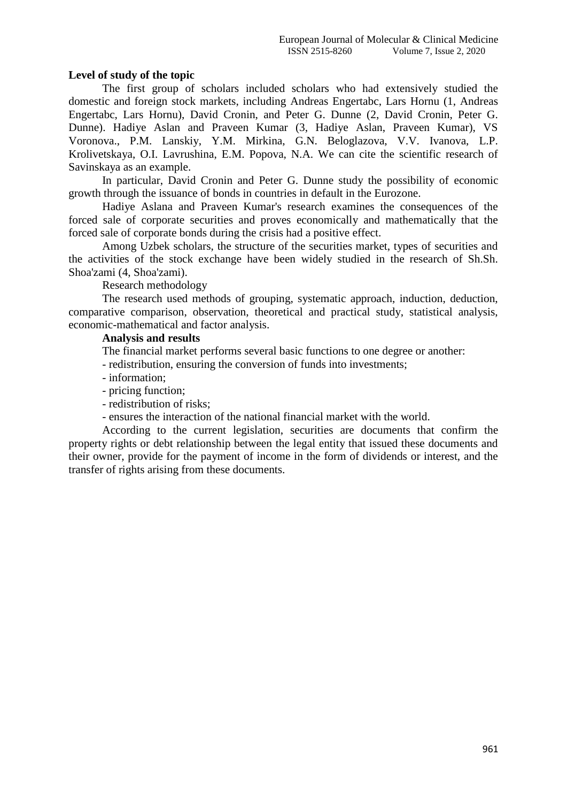# **Level of study of the topic**

The first group of scholars included scholars who had extensively studied the domestic and foreign stock markets, including Andreas Engertabc, Lars Hornu (1, Andreas Engertabc, Lars Hornu), David Cronin, and Peter G. Dunne (2, David Cronin, Peter G. Dunne). Hadiye Aslan and Praveen Kumar (3, Hadiye Aslan, Praveen Kumar), VS Voronova., P.M. Lanskiy, Y.M. Mirkina, G.N. Beloglazova, V.V. Ivanova, L.P. Krolivetskaya, O.I. Lavrushina, E.M. Popova, N.A. We can cite the scientific research of Savinskaya as an example.

In particular, David Cronin and Peter G. Dunne study the possibility of economic growth through the issuance of bonds in countries in default in the Eurozone.

Hadiye Aslana and Praveen Kumar's research examines the consequences of the forced sale of corporate securities and proves economically and mathematically that the forced sale of corporate bonds during the crisis had a positive effect.

Among Uzbek scholars, the structure of the securities market, types of securities and the activities of the stock exchange have been widely studied in the research of Sh.Sh. Shoa'zami (4, Shoa'zami).

Research methodology

The research used methods of grouping, systematic approach, induction, deduction, comparative comparison, observation, theoretical and practical study, statistical analysis, economic-mathematical and factor analysis.

### **Analysis and results**

The financial market performs several basic functions to one degree or another:

- redistribution, ensuring the conversion of funds into investments;

- information;
- pricing function;
- redistribution of risks;

- ensures the interaction of the national financial market with the world.

According to the current legislation, securities are documents that confirm the property rights or debt relationship between the legal entity that issued these documents and their owner, provide for the payment of income in the form of dividends or interest, and the transfer of rights arising from these documents.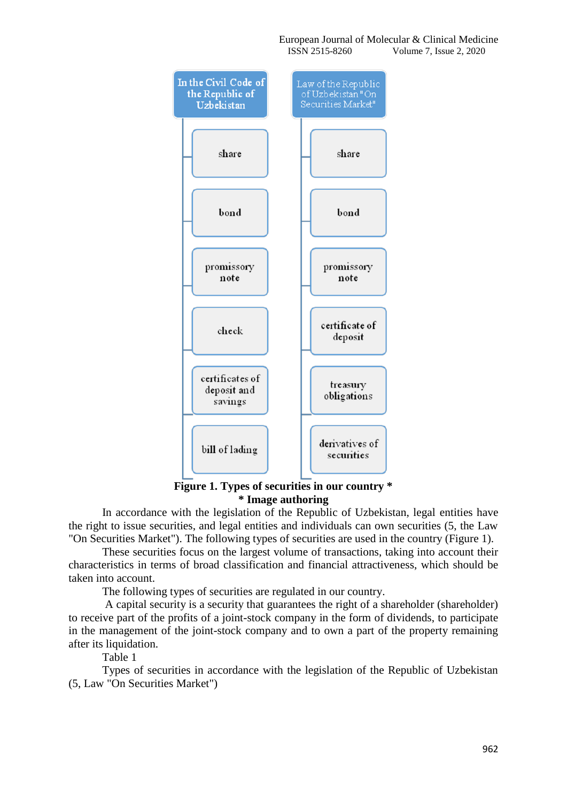

**Figure 1. Types of securities in our country \* \* Image authoring**

In accordance with the legislation of the Republic of Uzbekistan, legal entities have the right to issue securities, and legal entities and individuals can own securities (5, the Law "On Securities Market"). The following types of securities are used in the country (Figure 1).

These securities focus on the largest volume of transactions, taking into account their characteristics in terms of broad classification and financial attractiveness, which should be taken into account.

The following types of securities are regulated in our country.

A capital security is a security that guarantees the right of a shareholder (shareholder) to receive part of the profits of a joint-stock company in the form of dividends, to participate in the management of the joint-stock company and to own a part of the property remaining after its liquidation.

Table 1

Types of securities in accordance with the legislation of the Republic of Uzbekistan (5, Law "On Securities Market")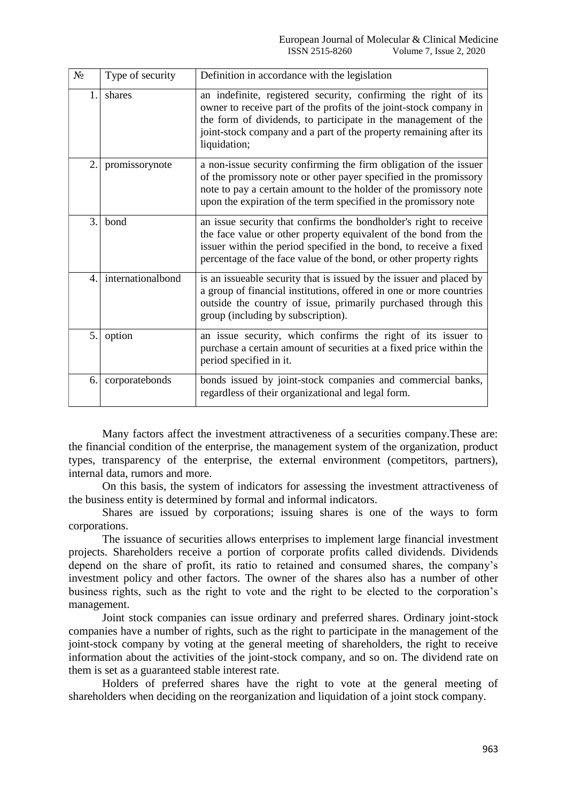| $N_2$            | Type of security  | Definition in accordance with the legislation                                                                                                                                                                                                                                                 |  |  |
|------------------|-------------------|-----------------------------------------------------------------------------------------------------------------------------------------------------------------------------------------------------------------------------------------------------------------------------------------------|--|--|
| 1.               | shares            | an indefinite, registered security, confirming the right of its<br>owner to receive part of the profits of the joint-stock company in<br>the form of dividends, to participate in the management of the<br>joint-stock company and a part of the property remaining after its<br>liquidation; |  |  |
| 2.               | promissorynote    | a non-issue security confirming the firm obligation of the issuer<br>of the promissory note or other payer specified in the promissory<br>note to pay a certain amount to the holder of the promissory note<br>upon the expiration of the term specified in the promissory note               |  |  |
| 3.               | bond              | an issue security that confirms the bondholder's right to receive<br>the face value or other property equivalent of the bond from the<br>issuer within the period specified in the bond, to receive a fixed<br>percentage of the face value of the bond, or other property rights             |  |  |
| $\overline{4}$ . | internationalbond | is an issueable security that is issued by the issuer and placed by<br>a group of financial institutions, offered in one or more countries<br>outside the country of issue, primarily purchased through this<br>group (including by subscription).                                            |  |  |
| 5.               | option            | an issue security, which confirms the right of its issuer to<br>purchase a certain amount of securities at a fixed price within the<br>period specified in it.                                                                                                                                |  |  |
| 6.               | corporatebonds    | bonds issued by joint-stock companies and commercial banks,<br>regardless of their organizational and legal form.                                                                                                                                                                             |  |  |

Many factors affect the investment attractiveness of a securities company.These are: the financial condition of the enterprise, the management system of the organization, product types, transparency of the enterprise, the external environment (competitors, partners), internal data, rumors and more.

On this basis, the system of indicators for assessing the investment attractiveness of the business entity is determined by formal and informal indicators.

Shares are issued by corporations; issuing shares is one of the ways to form corporations.

The issuance of securities allows enterprises to implement large financial investment projects. Shareholders receive a portion of corporate profits called dividends. Dividends depend on the share of profit, its ratio to retained and consumed shares, the company's investment policy and other factors. The owner of the shares also has a number of other business rights, such as the right to vote and the right to be elected to the corporation's management.

Joint stock companies can issue ordinary and preferred shares. Ordinary joint-stock companies have a number of rights, such as the right to participate in the management of the joint-stock company by voting at the general meeting of shareholders, the right to receive information about the activities of the joint-stock company, and so on. The dividend rate on them is set as a guaranteed stable interest rate.

Holders of preferred shares have the right to vote at the general meeting of shareholders when deciding on the reorganization and liquidation of a joint stock company.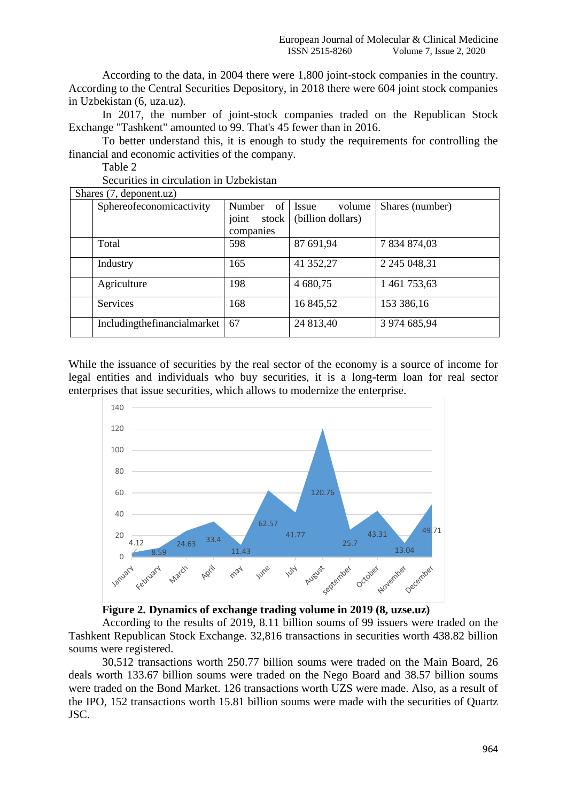According to the data, in 2004 there were 1,800 joint-stock companies in the country. According to the Central Securities Depository, in 2018 there were 604 joint stock companies in Uzbekistan (6, uza.uz).

In 2017, the number of joint-stock companies traded on the Republican Stock Exchange "Tashkent" amounted to 99. That's 45 fewer than in 2016.

To better understand this, it is enough to study the requirements for controlling the financial and economic activities of the company.

Table 2

Securities in circulation in Uzbekistan

| Shares (7, deponent.uz) |                             |                         |                   |                 |  |  |  |
|-------------------------|-----------------------------|-------------------------|-------------------|-----------------|--|--|--|
|                         | Sphereofeconomicactivity    | <sub>of</sub><br>Number | Issue<br>volume   | Shares (number) |  |  |  |
|                         |                             | joint<br>stock          | (billion dollars) |                 |  |  |  |
|                         |                             | companies               |                   |                 |  |  |  |
|                         | Total                       | 598                     | 87 691,94         | 7 834 874,03    |  |  |  |
|                         | Industry                    | 165                     | 41 352,27         | 2 245 048,31    |  |  |  |
|                         | Agriculture                 | 198                     | 4 680,75          | 1 461 753,63    |  |  |  |
|                         | Services                    | 168                     | 16 845,52         | 153 386,16      |  |  |  |
|                         | Includingthefinancialmarket | 67                      | 24 813,40         | 3 974 685,94    |  |  |  |

While the issuance of securities by the real sector of the economy is a source of income for legal entities and individuals who buy securities, it is a long-term loan for real sector enterprises that issue securities, which allows to modernize the enterprise.



**Figure 2. Dynamics of exchange trading volume in 2019 (8, uzse.uz)**

According to the results of 2019, 8.11 billion soums of 99 issuers were traded on the Tashkent Republican Stock Exchange. 32,816 transactions in securities worth 438.82 billion soums were registered.

30,512 transactions worth 250.77 billion soums were traded on the Main Board, 26 deals worth 133.67 billion soums were traded on the Nego Board and 38.57 billion soums were traded on the Bond Market. 126 transactions worth UZS were made. Also, as a result of the IPO, 152 transactions worth 15.81 billion soums were made with the securities of Quartz JSC.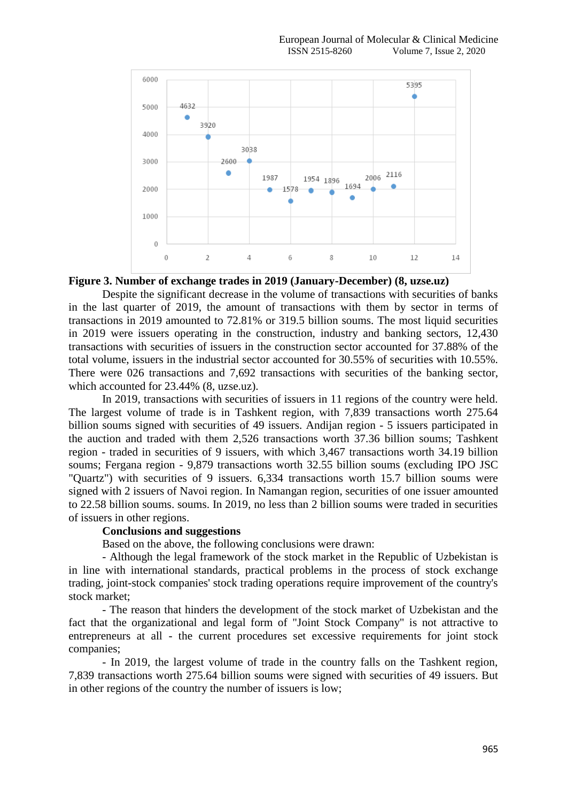

#### **Figure 3. Number of exchange trades in 2019 (January-December) (8, uzse.uz)**

Despite the significant decrease in the volume of transactions with securities of banks in the last quarter of 2019, the amount of transactions with them by sector in terms of transactions in 2019 amounted to 72.81% or 319.5 billion soums. The most liquid securities in 2019 were issuers operating in the construction, industry and banking sectors, 12,430 transactions with securities of issuers in the construction sector accounted for 37.88% of the total volume, issuers in the industrial sector accounted for 30.55% of securities with 10.55%. There were 026 transactions and 7,692 transactions with securities of the banking sector, which accounted for 23.44% (8, uzse.uz).

In 2019, transactions with securities of issuers in 11 regions of the country were held. The largest volume of trade is in Tashkent region, with 7,839 transactions worth 275.64 billion soums signed with securities of 49 issuers. Andijan region - 5 issuers participated in the auction and traded with them 2,526 transactions worth 37.36 billion soums; Tashkent region - traded in securities of 9 issuers, with which 3,467 transactions worth 34.19 billion soums; Fergana region - 9.879 transactions worth 32.55 billion soums (excluding IPO JSC) "Quartz") with securities of 9 issuers. 6,334 transactions worth 15.7 billion soums were signed with 2 issuers of Navoi region. In Namangan region, securities of one issuer amounted to 22.58 billion soums. soums. In 2019, no less than 2 billion soums were traded in securities of issuers in other regions.

### **Conclusions and suggestions**

Based on the above, the following conclusions were drawn:

- Although the legal framework of the stock market in the Republic of Uzbekistan is in line with international standards, practical problems in the process of stock exchange trading, joint-stock companies' stock trading operations require improvement of the country's stock market;

- The reason that hinders the development of the stock market of Uzbekistan and the fact that the organizational and legal form of "Joint Stock Company" is not attractive to entrepreneurs at all - the current procedures set excessive requirements for joint stock companies;

- In 2019, the largest volume of trade in the country falls on the Tashkent region, 7,839 transactions worth 275.64 billion soums were signed with securities of 49 issuers. But in other regions of the country the number of issuers is low;